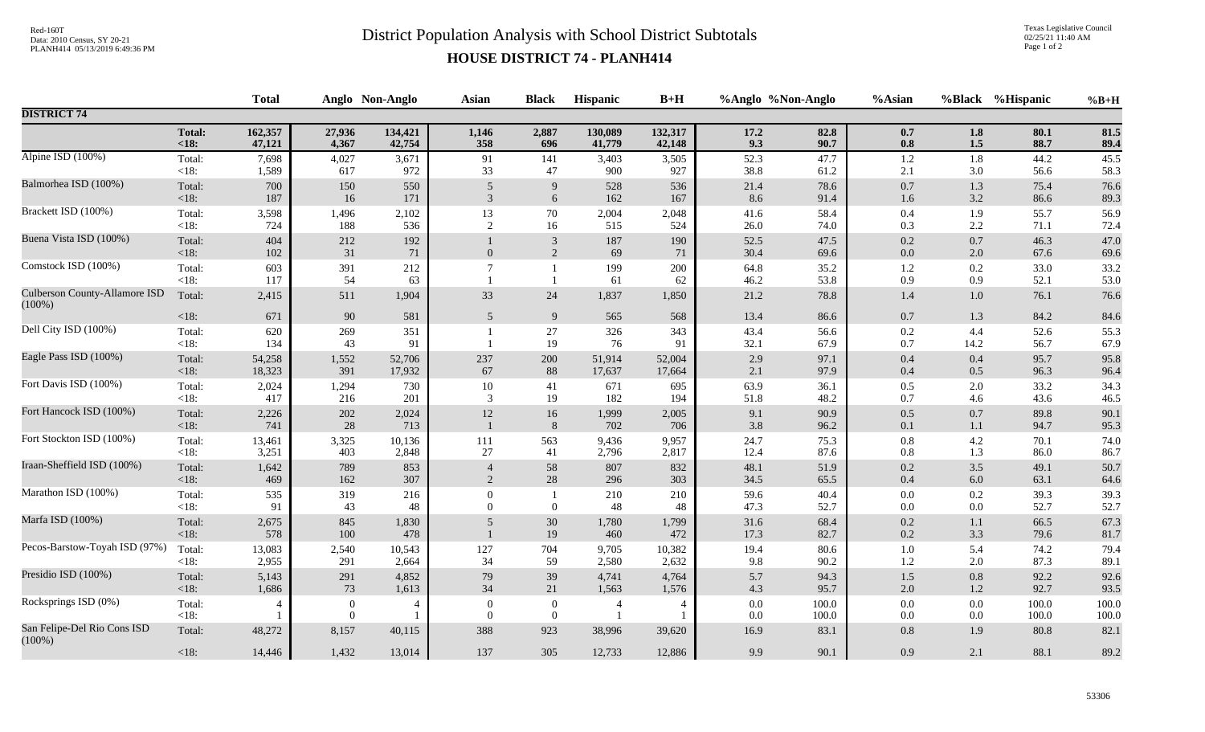## Red-160T<br>District Population Analysis with School District Subtotals

Texas Legislative Council 02/25/21 11:40 AM Page 1 of 2

## **HOUSE DISTRICT 74 - PLANH414**

|                                                   | <b>Total</b>      |                   |                              | Anglo Non-Anglo   | <b>Asian</b>                     | <b>Black</b>                       | Hispanic                         | $B+H$             | %Anglo %Non-Anglo |                  | %Asian             |                | %Black %Hispanic | $%B+H$         |
|---------------------------------------------------|-------------------|-------------------|------------------------------|-------------------|----------------------------------|------------------------------------|----------------------------------|-------------------|-------------------|------------------|--------------------|----------------|------------------|----------------|
| <b>DISTRICT 74</b>                                |                   |                   |                              |                   |                                  |                                    |                                  |                   |                   |                  |                    |                |                  |                |
|                                                   | Total:<br>$18$    | 162,357<br>47,121 | 27,936<br>4,367              | 134,421<br>42,754 | 1,146<br>358                     | 2,887<br>696                       | 130,089<br>41,779                | 132,317<br>42,148 | 17.2<br>9.3       | 82.8<br>90.7     | $0.7\,$<br>$0.8\,$ | 1.8<br>$1.5\,$ | 80.1<br>88.7     | 81.5<br>89.4   |
| Alpine ISD (100%)                                 | Total:<br><18:    | 7,698<br>1,589    | 4,027<br>617                 | 3,671<br>972      | 91<br>33                         | 141<br>47                          | 3,403<br>900                     | 3,505<br>927      | 52.3<br>38.8      | 47.7<br>61.2     | 1.2<br>2.1         | 1.8<br>3.0     | 44.2<br>56.6     | 45.5<br>58.3   |
| Balmorhea ISD (100%)                              | Total:<br><18:    | 700<br>187        | 150<br>16                    | 550<br>171        | 5<br>3                           | 9<br>6                             | 528<br>162                       | 536<br>167        | 21.4<br>8.6       | 78.6<br>91.4     | $0.7\,$<br>1.6     | 1.3<br>3.2     | 75.4<br>86.6     | 76.6<br>89.3   |
| Brackett ISD (100%)                               | Total:<br>$<18$ : | 3,598<br>724      | 1,496<br>188                 | 2,102<br>536      | 13<br>2                          | 70<br>16                           | 2,004<br>515                     | 2,048<br>524      | 41.6<br>26.0      | 58.4<br>74.0     | $0.4\,$<br>0.3     | 1.9<br>2.2     | 55.7<br>71.1     | 56.9<br>72.4   |
| Buena Vista ISD (100%)                            | Total:<br>$<18$ : | 404<br>102        | 212<br>31                    | 192<br>71         | $\theta$                         | $\mathbf{3}$<br>$\overline{2}$     | 187<br>69                        | 190<br>71         | 52.5<br>30.4      | 47.5<br>69.6     | $0.2\,$<br>$0.0\,$ | 0.7<br>2.0     | 46.3<br>67.6     | 47.0<br>69.6   |
| Comstock ISD (100%)                               | Total:<br>< 18:   | 603<br>117        | 391<br>54                    | 212<br>63         |                                  | $\mathbf{1}$<br>$\overline{1}$     | 199<br>61                        | 200<br>62         | 64.8<br>46.2      | 35.2<br>53.8     | $1.2\,$<br>0.9     | 0.2<br>0.9     | 33.0<br>52.1     | 33.2<br>53.0   |
| <b>Culberson County-Allamore ISD</b><br>$(100\%)$ | Total:            | 2,415             | 511                          | 1,904             | 33                               | 24                                 | 1,837                            | 1,850             | 21.2              | 78.8             | 1.4                | 1.0            | 76.1             | 76.6           |
|                                                   | $<18$ :           | 671               | 90                           | 581               | 5                                | 9                                  | 565                              | 568               | 13.4              | 86.6             | $0.7\,$            | 1.3            | 84.2             | 84.6           |
| Dell City ISD (100%)                              | Total:<br><18:    | 620<br>134        | 269<br>43                    | 351<br>91         |                                  | $27\,$<br>19                       | 326<br>76                        | 343<br>91         | 43.4<br>32.1      | 56.6<br>67.9     | $0.2\,$<br>$0.7\,$ | 4.4<br>14.2    | 52.6<br>56.7     | 55.3<br>67.9   |
| Eagle Pass ISD (100%)                             | Total:<br>< 18:   | 54,258<br>18,323  | 1,552<br>391                 | 52,706<br>17,932  | 237<br>67                        | 200<br>88                          | 51,914<br>17,637                 | 52,004<br>17,664  | 2.9<br>2.1        | 97.1<br>97.9     | $0.4\,$<br>$0.4\,$ | 0.4<br>0.5     | 95.7<br>96.3     | 95.8<br>96.4   |
| Fort Davis ISD (100%)                             | Total:<br><18:    | 2,024<br>417      | 1,294<br>216                 | 730<br>201        | $10\,$<br>3                      | 41<br>19                           | 671<br>182                       | 695<br>194        | 63.9<br>51.8      | 36.1<br>48.2     | $0.5\,$<br>0.7     | 2.0<br>4.6     | 33.2<br>43.6     | 34.3<br>46.5   |
| Fort Hancock ISD (100%)                           | Total:<br><18:    | 2,226<br>741      | 202<br>28                    | 2,024<br>713      | $12\,$                           | 16<br>$\,8\,$                      | 1,999<br>702                     | 2,005<br>706      | 9.1<br>3.8        | 90.9<br>96.2     | $0.5\,$<br>0.1     | 0.7<br>1.1     | 89.8<br>94.7     | 90.1<br>95.3   |
| Fort Stockton ISD (100%)                          | Total:<br>$<18$ : | 13,461<br>3,251   | 3,325<br>403                 | 10,136<br>2,848   | 111<br>27                        | 563<br>41                          | 9,436<br>2,796                   | 9,957<br>2,817    | 24.7<br>12.4      | 75.3<br>87.6     | $0.8\,$<br>0.8     | 4.2<br>1.3     | 70.1<br>86.0     | 74.0<br>86.7   |
| Iraan-Sheffield ISD (100%)                        | Total:<br><18:    | 1,642<br>469      | 789<br>162                   | 853<br>307        | $\overline{4}$<br>2              | 58<br>28                           | 807<br>296                       | 832<br>303        | 48.1<br>34.5      | 51.9<br>65.5     | $0.2\,$<br>$0.4\,$ | 3.5<br>6.0     | 49.1<br>63.1     | 50.7<br>64.6   |
| Marathon ISD (100%)                               | Total:<br><18:    | 535<br>91         | 319<br>43                    | 216<br>48         | $\theta$<br>$\Omega$             | $\overline{0}$                     | 210<br>48                        | 210<br>48         | 59.6<br>47.3      | 40.4<br>52.7     | $0.0\,$<br>0.0     | 0.2<br>0.0     | 39.3<br>52.7     | 39.3<br>52.7   |
| Marfa ISD (100%)                                  | Total:<br><18:    | 2,675<br>578      | 845<br>100                   | 1,830<br>478      | 5                                | $30\,$<br>19                       | 1,780<br>460                     | 1,799<br>472      | 31.6<br>17.3      | 68.4<br>82.7     | $0.2\,$<br>$0.2\,$ | 1.1<br>3.3     | 66.5<br>79.6     | 67.3<br>81.7   |
| Pecos-Barstow-Toyah ISD (97%)                     | Total:<br><18:    | 13,083<br>2,955   | 2,540<br>291                 | 10,543<br>2,664   | 127<br>34                        | 704<br>59                          | 9,705<br>2,580                   | 10,382<br>2,632   | 19.4<br>9.8       | $80.6\,$<br>90.2 | $1.0\,$<br>$1.2\,$ | 5.4<br>2.0     | 74.2<br>87.3     | 79.4<br>89.1   |
| Presidio ISD (100%)                               | Total:<br>$<18$ : | 5,143<br>1,686    | 291<br>73                    | 4,852<br>1,613    | 79<br>34                         | 39<br>21                           | 4,741<br>1,563                   | 4,764<br>1,576    | 5.7<br>4.3        | 94.3<br>95.7     | $1.5\,$<br>$2.0\,$ | 0.8<br>1.2     | 92.2<br>92.7     | 92.6<br>93.5   |
| Rocksprings ISD (0%)                              | Total:<br>$<18$ : |                   | $\boldsymbol{0}$<br>$\theta$ |                   | $\overline{0}$<br>$\overline{0}$ | $\boldsymbol{0}$<br>$\overline{0}$ | $\overline{4}$<br>$\overline{1}$ | 4                 | 0.0<br>0.0        | 100.0<br>100.0   | $0.0\,$<br>0.0     | $0.0\,$<br>0.0 | 100.0<br>100.0   | 100.0<br>100.0 |
| San Felipe-Del Rio Cons ISD<br>$(100\%)$          | Total:            | 48,272            | 8,157                        | 40,115            | 388                              | 923                                | 38,996                           | 39,620            | 16.9              | 83.1             | $0.8\,$            | 1.9            | 80.8             | 82.1           |
|                                                   | <18:              | 14,446            | 1,432                        | 13,014            | 137                              | 305                                | 12,733                           | 12,886            | 9.9               | 90.1             | 0.9                | 2.1            | 88.1             | 89.2           |